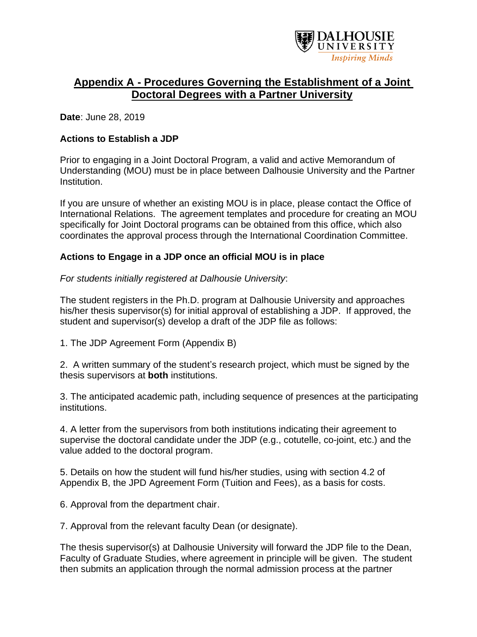

## **Appendix A - Procedures Governing the Establishment of a Joint Doctoral Degrees with a Partner University**

**Date**: June 28, 2019

## **Actions to Establish a JDP**

Prior to engaging in a Joint Doctoral Program, a valid and active Memorandum of Understanding (MOU) must be in place between Dalhousie University and the Partner Institution.

If you are unsure of whether an existing MOU is in place, please contact the Office of International Relations. The agreement templates and procedure for creating an MOU specifically for Joint Doctoral programs can be obtained from this office, which also coordinates the approval process through the International Coordination Committee.

## **Actions to Engage in a JDP once an official MOU is in place**

*For students initially registered at Dalhousie University*:

The student registers in the Ph.D. program at Dalhousie University and approaches his/her thesis supervisor(s) for initial approval of establishing a JDP. If approved, the student and supervisor(s) develop a draft of the JDP file as follows:

1. The JDP Agreement Form (Appendix B)

2. A written summary of the student's research project, which must be signed by the thesis supervisors at **both** institutions.

3. The anticipated academic path, including sequence of presences at the participating institutions.

4. A letter from the supervisors from both institutions indicating their agreement to supervise the doctoral candidate under the JDP (e.g., cotutelle, co-joint, etc.) and the value added to the doctoral program.

5. Details on how the student will fund his/her studies, using with section 4.2 of Appendix B, the JPD Agreement Form (Tuition and Fees), as a basis for costs.

6. Approval from the department chair.

7. Approval from the relevant faculty Dean (or designate).

The thesis supervisor(s) at Dalhousie University will forward the JDP file to the Dean, Faculty of Graduate Studies, where agreement in principle will be given. The student then submits an application through the normal admission process at the partner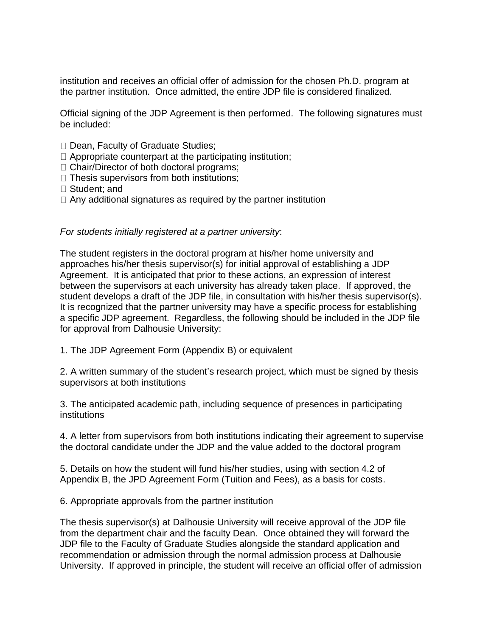institution and receives an official offer of admission for the chosen Ph.D. program at the partner institution. Once admitted, the entire JDP file is considered finalized.

Official signing of the JDP Agreement is then performed. The following signatures must be included:

- □ Dean, Faculty of Graduate Studies;
- $\Box$  Appropriate counterpart at the participating institution;
- □ Chair/Director of both doctoral programs;
- $\Box$  Thesis supervisors from both institutions;
- Student; and
- $\Box$  Any additional signatures as required by the partner institution

## *For students initially registered at a partner university*:

The student registers in the doctoral program at his/her home university and approaches his/her thesis supervisor(s) for initial approval of establishing a JDP Agreement. It is anticipated that prior to these actions, an expression of interest between the supervisors at each university has already taken place. If approved, the student develops a draft of the JDP file, in consultation with his/her thesis supervisor(s). It is recognized that the partner university may have a specific process for establishing a specific JDP agreement. Regardless, the following should be included in the JDP file for approval from Dalhousie University:

1. The JDP Agreement Form (Appendix B) or equivalent

2. A written summary of the student's research project, which must be signed by thesis supervisors at both institutions

3. The anticipated academic path, including sequence of presences in participating institutions

4. A letter from supervisors from both institutions indicating their agreement to supervise the doctoral candidate under the JDP and the value added to the doctoral program

5. Details on how the student will fund his/her studies, using with section 4.2 of Appendix B, the JPD Agreement Form (Tuition and Fees), as a basis for costs.

6. Appropriate approvals from the partner institution

The thesis supervisor(s) at Dalhousie University will receive approval of the JDP file from the department chair and the faculty Dean. Once obtained they will forward the JDP file to the Faculty of Graduate Studies alongside the standard application and recommendation or admission through the normal admission process at Dalhousie University. If approved in principle, the student will receive an official offer of admission